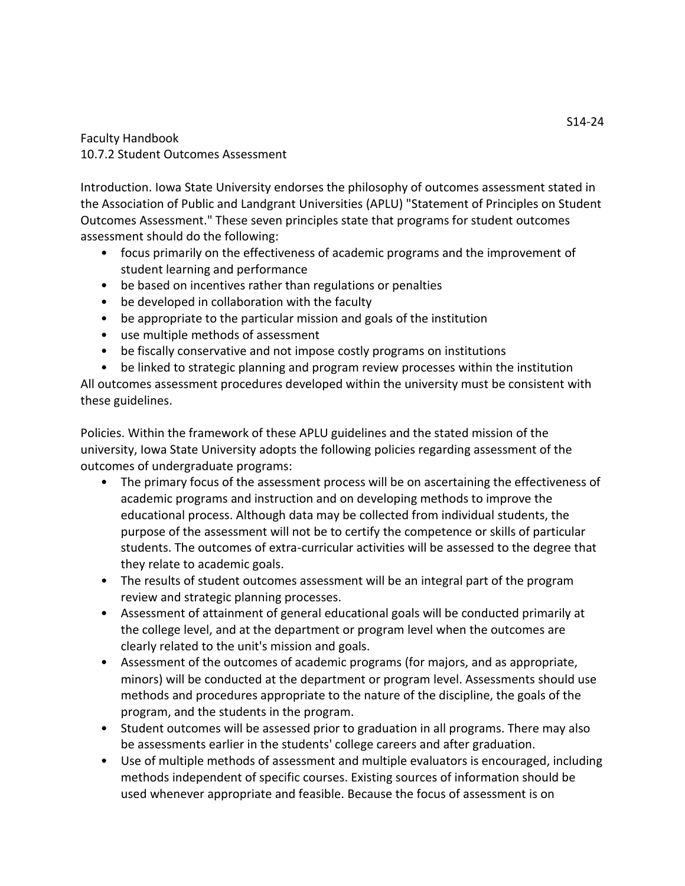## Faculty Handbook 10.7.2 Student Outcomes Assessment

Introduction. Iowa State University endorses the philosophy of outcomes assessment stated in the Association of Public and Landgrant Universities (APLU) "Statement of Principles on Student Outcomes Assessment." These seven principles state that programs for student outcomes assessment should do the following:

- focus primarily on the effectiveness of academic programs and the improvement of student learning and performance
- be based on incentives rather than regulations or penalties
- be developed in collaboration with the faculty
- be appropriate to the particular mission and goals of the institution
- use multiple methods of assessment
- be fiscally conservative and not impose costly programs on institutions
- be linked to strategic planning and program review processes within the institution

All outcomes assessment procedures developed within the university must be consistent with these guidelines.

Policies. Within the framework of these APLU guidelines and the stated mission of the university, Iowa State University adopts the following policies regarding assessment of the outcomes of undergraduate programs:

- The primary focus of the assessment process will be on ascertaining the effectiveness of academic programs and instruction and on developing methods to improve the educational process. Although data may be collected from individual students, the purpose of the assessment will not be to certify the competence or skills of particular students. The outcomes of extra-curricular activities will be assessed to the degree that they relate to academic goals.
- The results of student outcomes assessment will be an integral part of the program review and strategic planning processes.
- Assessment of attainment of general educational goals will be conducted primarily at the college level, and at the department or program level when the outcomes are clearly related to the unit's mission and goals.
- Assessment of the outcomes of academic programs (for majors, and as appropriate, minors) will be conducted at the department or program level. Assessments should use methods and procedures appropriate to the nature of the discipline, the goals of the program, and the students in the program.
- Student outcomes will be assessed prior to graduation in all programs. There may also be assessments earlier in the students' college careers and after graduation.
- Use of multiple methods of assessment and multiple evaluators is encouraged, including methods independent of specific courses. Existing sources of information should be used whenever appropriate and feasible. Because the focus of assessment is on